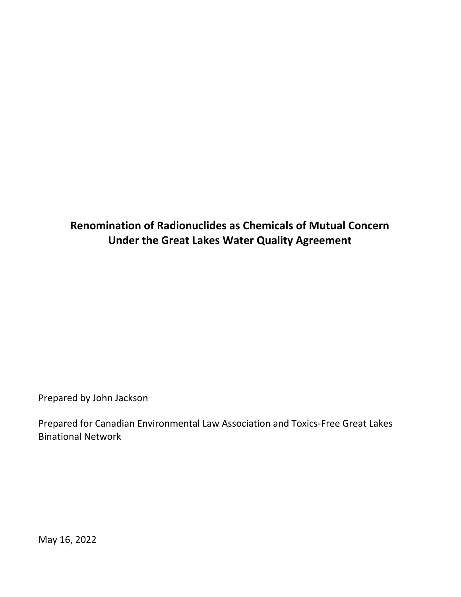## **Renomination of Radionuclides as Chemicals of Mutual Concern Under the Great Lakes Water Quality Agreement**

Prepared by John Jackson

Prepared for Canadian Environmental Law Association and Toxics-Free Great Lakes Binational Network

May 16, 2022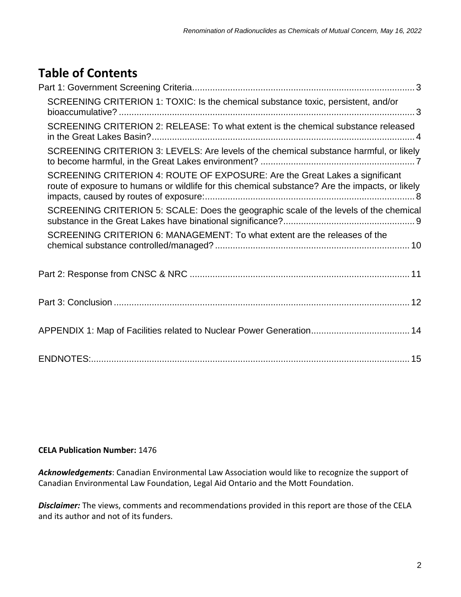# **Table of Contents**

| SCREENING CRITERION 1: TOXIC: Is the chemical substance toxic, persistent, and/or                                                                                              |
|--------------------------------------------------------------------------------------------------------------------------------------------------------------------------------|
| SCREENING CRITERION 2: RELEASE: To what extent is the chemical substance released                                                                                              |
| SCREENING CRITERION 3: LEVELS: Are levels of the chemical substance harmful, or likely                                                                                         |
| SCREENING CRITERION 4: ROUTE OF EXPOSURE: Are the Great Lakes a significant<br>route of exposure to humans or wildlife for this chemical substance? Are the impacts, or likely |
| SCREENING CRITERION 5: SCALE: Does the geographic scale of the levels of the chemical                                                                                          |
| SCREENING CRITERION 6: MANAGEMENT: To what extent are the releases of the                                                                                                      |
|                                                                                                                                                                                |
|                                                                                                                                                                                |
| APPENDIX 1: Map of Facilities related to Nuclear Power Generation 14                                                                                                           |
|                                                                                                                                                                                |

#### **CELA Publication Number:** 1476

*Acknowledgements*: Canadian Environmental Law Association would like to recognize the support of Canadian Environmental Law Foundation, Legal Aid Ontario and the Mott Foundation.

*Disclaimer:* The views, comments and recommendations provided in this report are those of the CELA and its author and not of its funders.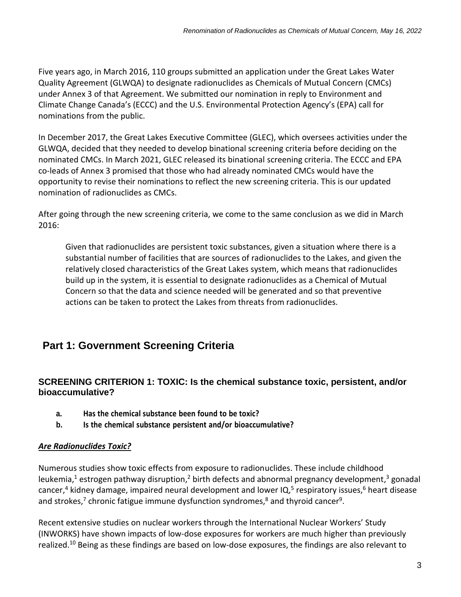Five years ago, in March 2016, 110 groups submitted an application under the Great Lakes Water Quality Agreement (GLWQA) to designate radionuclides as Chemicals of Mutual Concern (CMCs) under Annex 3 of that Agreement. We submitted our nomination in reply to Environment and Climate Change Canada's (ECCC) and the U.S. Environmental Protection Agency's (EPA) call for nominations from the public.

In December 2017, the Great Lakes Executive Committee (GLEC), which oversees activities under the GLWQA, decided that they needed to develop binational screening criteria before deciding on the nominated CMCs. In March 2021, GLEC released its binational screening criteria. The ECCC and EPA co-leads of Annex 3 promised that those who had already nominated CMCs would have the opportunity to revise their nominations to reflect the new screening criteria. This is our updated nomination of radionuclides as CMCs.

After going through the new screening criteria, we come to the same conclusion as we did in March 2016:

Given that radionuclides are persistent toxic substances, given a situation where there is a substantial number of facilities that are sources of radionuclides to the Lakes, and given the relatively closed characteristics of the Great Lakes system, which means that radionuclides build up in the system, it is essential to designate radionuclides as a Chemical of Mutual Concern so that the data and science needed will be generated and so that preventive actions can be taken to protect the Lakes from threats from radionuclides.

## <span id="page-2-0"></span>**Part 1: Government Screening Criteria**

### <span id="page-2-1"></span>**SCREENING CRITERION 1: TOXIC: Is the chemical substance toxic, persistent, and/or bioaccumulative?**

- **a. Has the chemical substance been found to be toxic?**
- **b. Is the chemical substance persistent and/or bioaccumulative?**

#### *Are Radionuclides Toxic?*

Numerous studies show toxic effects from exposure to radionuclides. These include childhood leukemia,<sup>1</sup> estrogen pathway disruption,<sup>2</sup> birth defects and abnormal pregnancy development,<sup>3</sup> gonadal cancer,<sup>4</sup> kidney damage, impaired neural development and lower IQ,<sup>5</sup> respiratory issues,<sup>6</sup> heart disease and strokes,<sup>7</sup> chronic fatigue immune dysfunction syndromes,<sup>8</sup> and thyroid cancer<sup>9</sup>.

Recent extensive studies on nuclear workers through the International Nuclear Workers' Study (INWORKS) have shown impacts of low-dose exposures for workers are much higher than previously realized.<sup>10</sup> Being as these findings are based on low-dose exposures, the findings are also relevant to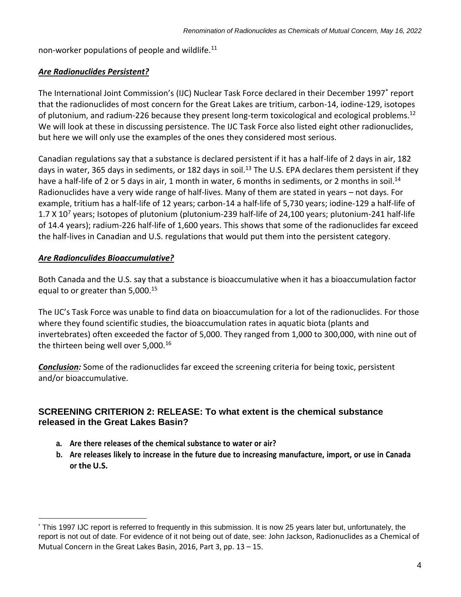non-worker populations of people and wildlife. $11$ 

#### *Are Radionuclides Persistent?*

The International Joint Commission's (IJC) Nuclear Task Force declared in their December 1997\* report that the radionuclides of most concern for the Great Lakes are tritium, carbon-14, iodine-129, isotopes of plutonium, and radium-226 because they present long-term toxicological and ecological problems.<sup>12</sup> We will look at these in discussing persistence. The IJC Task Force also listed eight other radionuclides, but here we will only use the examples of the ones they considered most serious.

Canadian regulations say that a substance is declared persistent if it has a half-life of 2 days in air, 182 days in water, 365 days in sediments, or 182 days in soil.<sup>13</sup> The U.S. EPA declares them persistent if they have a half-life of 2 or 5 days in air, 1 month in water, 6 months in sediments, or 2 months in soil.<sup>14</sup> Radionuclides have a very wide range of half-lives. Many of them are stated in years – not days. For example, tritium has a half-life of 12 years; carbon-14 a half-life of 5,730 years; iodine-129 a half-life of 1.7 X 10<sup>7</sup> years; Isotopes of plutonium (plutonium-239 half-life of 24,100 years; plutonium-241 half-life of 14.4 years); radium-226 half-life of 1,600 years. This shows that some of the radionuclides far exceed the half-lives in Canadian and U.S. regulations that would put them into the persistent category.

#### *Are Radionculides Bioaccumulative?*

 $\overline{a}$ 

Both Canada and the U.S. say that a substance is bioaccumulative when it has a bioaccumulation factor equal to or greater than 5,000.<sup>15</sup>

The IJC's Task Force was unable to find data on bioaccumulation for a lot of the radionuclides. For those where they found scientific studies, the bioaccumulation rates in aquatic biota (plants and invertebrates) often exceeded the factor of 5,000. They ranged from 1,000 to 300,000, with nine out of the thirteen being well over 5,000.<sup>16</sup>

*Conclusion:* Some of the radionuclides far exceed the screening criteria for being toxic, persistent and/or bioaccumulative.

#### <span id="page-3-0"></span>**SCREENING CRITERION 2: RELEASE: To what extent is the chemical substance released in the Great Lakes Basin?**

- **a. Are there releases of the chemical substance to water or air?**
- b. Are releases likely to increase in the future due to increasing manufacture, import, or use in Canada **or the U.S.**

<sup>\*</sup> This 1997 IJC report is referred to frequently in this submission. It is now 25 years later but, unfortunately, the report is not out of date. For evidence of it not being out of date, see: John Jackson, Radionuclides as a Chemical of Mutual Concern in the Great Lakes Basin, 2016, Part 3, pp. 13 – 15.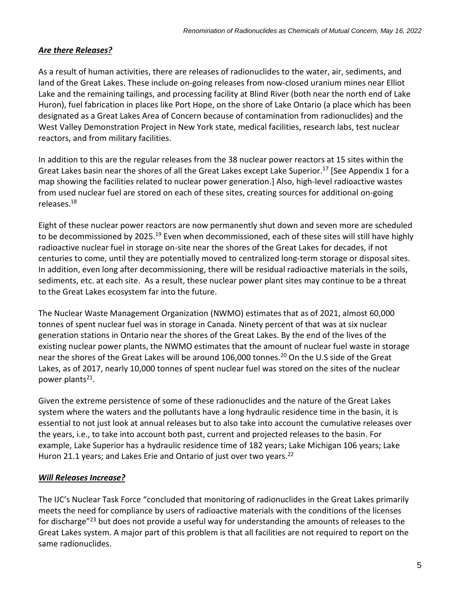#### *Are there Releases?*

As a result of human activities, there are releases of radionuclides to the water, air, sediments, and land of the Great Lakes. These include on-going releases from now-closed uranium mines near Elliot Lake and the remaining tailings, and processing facility at Blind River (both near the north end of Lake Huron), fuel fabrication in places like Port Hope, on the shore of Lake Ontario (a place which has been designated as a Great Lakes Area of Concern because of contamination from radionuclides) and the West Valley Demonstration Project in New York state, medical facilities, research labs, test nuclear reactors, and from military facilities.

In addition to this are the regular releases from the 38 nuclear power reactors at 15 sites within the Great Lakes basin near the shores of all the Great Lakes except Lake Superior. <sup>17</sup> [See Appendix 1 for a map showing the facilities related to nuclear power generation.] Also, high-level radioactive wastes from used nuclear fuel are stored on each of these sites, creating sources for additional on-going releases.<sup>18</sup>

Eight of these nuclear power reactors are now permanently shut down and seven more are scheduled to be decommissioned by 2025.<sup>19</sup> Even when decommissioned, each of these sites will still have highly radioactive nuclear fuel in storage on-site near the shores of the Great Lakes for decades, if not centuries to come, until they are potentially moved to centralized long-term storage or disposal sites. In addition, even long after decommissioning, there will be residual radioactive materials in the soils, sediments, etc. at each site. As a result, these nuclear power plant sites may continue to be a threat to the Great Lakes ecosystem far into the future.

The Nuclear Waste Management Organization (NWMO) estimates that as of 2021, almost 60,000 tonnes of spent nuclear fuel was in storage in Canada. Ninety percent of that was at six nuclear generation stations in Ontario near the shores of the Great Lakes. By the end of the lives of the existing nuclear power plants, the NWMO estimates that the amount of nuclear fuel waste in storage near the shores of the Great Lakes will be around 106,000 tonnes.<sup>20</sup> On the U.S side of the Great Lakes, as of 2017, nearly 10,000 tonnes of spent nuclear fuel was stored on the sites of the nuclear power plants<sup>21</sup>.

Given the extreme persistence of some of these radionuclides and the nature of the Great Lakes system where the waters and the pollutants have a long hydraulic residence time in the basin, it is essential to not just look at annual releases but to also take into account the cumulative releases over the years, i.e., to take into account both past, current and projected releases to the basin. For example, Lake Superior has a hydraulic residence time of 182 years; Lake Michigan 106 years; Lake Huron 21.1 years; and Lakes Erie and Ontario of just over two years.<sup>22</sup>

#### *Will Releases Increase?*

The IJC's Nuclear Task Force "concluded that monitoring of radionuclides in the Great Lakes primarily meets the need for compliance by users of radioactive materials with the conditions of the licenses for discharge<sup>"23</sup> but does not provide a useful way for understanding the amounts of releases to the Great Lakes system. A major part of this problem is that all facilities are not required to report on the same radionuclides.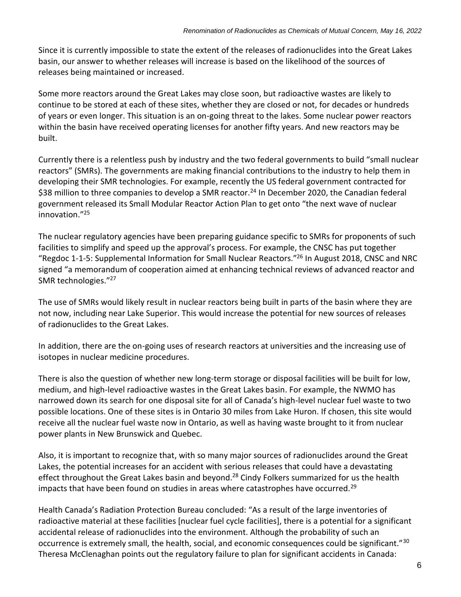Since it is currently impossible to state the extent of the releases of radionuclides into the Great Lakes basin, our answer to whether releases will increase is based on the likelihood of the sources of releases being maintained or increased.

Some more reactors around the Great Lakes may close soon, but radioactive wastes are likely to continue to be stored at each of these sites, whether they are closed or not, for decades or hundreds of years or even longer. This situation is an on-going threat to the lakes. Some nuclear power reactors within the basin have received operating licenses for another fifty years. And new reactors may be built.

Currently there is a relentless push by industry and the two federal governments to build "small nuclear reactors" (SMRs). The governments are making financial contributions to the industry to help them in developing their SMR technologies. For example, recently the US federal government contracted for \$38 million to three companies to develop a SMR reactor.<sup>24</sup> In December 2020, the Canadian federal government released its Small Modular Reactor Action Plan to get onto "the next wave of nuclear innovation."<sup>25</sup>

The nuclear regulatory agencies have been preparing guidance specific to SMRs for proponents of such facilities to simplify and speed up the approval's process. For example, the CNSC has put together "Regdoc 1-1-5: Supplemental Information for Small Nuclear Reactors."<sup>26</sup> In August 2018, CNSC and NRC signed "a memorandum of cooperation aimed at enhancing technical reviews of advanced reactor and SMR technologies."<sup>27</sup>

The use of SMRs would likely result in nuclear reactors being built in parts of the basin where they are not now, including near Lake Superior. This would increase the potential for new sources of releases of radionuclides to the Great Lakes.

In addition, there are the on-going uses of research reactors at universities and the increasing use of isotopes in nuclear medicine procedures.

There is also the question of whether new long-term storage or disposal facilities will be built for low, medium, and high-level radioactive wastes in the Great Lakes basin. For example, the NWMO has narrowed down its search for one disposal site for all of Canada's high-level nuclear fuel waste to two possible locations. One of these sites is in Ontario 30 miles from Lake Huron. If chosen, this site would receive all the nuclear fuel waste now in Ontario, as well as having waste brought to it from nuclear power plants in New Brunswick and Quebec.

Also, it is important to recognize that, with so many major sources of radionuclides around the Great Lakes, the potential increases for an accident with serious releases that could have a devastating effect throughout the Great Lakes basin and beyond.<sup>28</sup> Cindy Folkers summarized for us the health impacts that have been found on studies in areas where catastrophes have occurred.<sup>29</sup>

Health Canada's Radiation Protection Bureau concluded: "As a result of the large inventories of radioactive material at these facilities [nuclear fuel cycle facilities], there is a potential for a significant accidental release of radionuclides into the environment. Although the probability of such an occurrence is extremely small, the health, social, and economic consequences could be significant."<sup>30</sup> Theresa McClenaghan points out the regulatory failure to plan for significant accidents in Canada: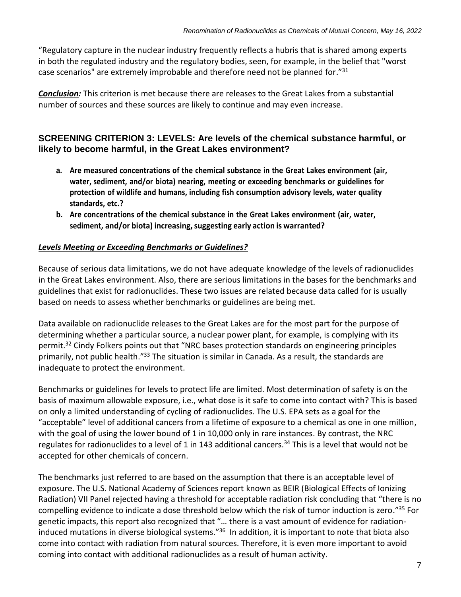"Regulatory capture in the nuclear industry frequently reflects a hubris that is shared among experts in both the regulated industry and the regulatory bodies, seen, for example, in the belief that "worst case scenarios" are extremely improbable and therefore need not be planned for." $31$ 

*Conclusion:* This criterion is met because there are releases to the Great Lakes from a substantial number of sources and these sources are likely to continue and may even increase.

#### <span id="page-6-0"></span>**SCREENING CRITERION 3: LEVELS: Are levels of the chemical substance harmful, or likely to become harmful, in the Great Lakes environment?**

- **a. Are measured concentrations of the chemical substance in the Great Lakes environment (air, water, sediment, and/or biota) nearing, meeting or exceeding benchmarks or guidelines for protection of wildlife and humans, including fish consumption advisory levels, water quality standards, etc.?**
- **b. Are concentrations of the chemical substance in the Great Lakes environment (air, water, sediment, and/or biota) increasing,suggesting early action is warranted?**

#### *Levels Meeting or Exceeding Benchmarks or Guidelines?*

Because of serious data limitations, we do not have adequate knowledge of the levels of radionuclides in the Great Lakes environment. Also, there are serious limitations in the bases for the benchmarks and guidelines that exist for radionuclides. These two issues are related because data called for is usually based on needs to assess whether benchmarks or guidelines are being met.

Data available on radionuclide releases to the Great Lakes are for the most part for the purpose of determining whether a particular source, a nuclear power plant, for example, is complying with its permit.<sup>32</sup> Cindy Folkers points out that "NRC bases protection standards on engineering principles primarily, not public health."<sup>33</sup> The situation is similar in Canada. As a result, the standards are inadequate to protect the environment.

Benchmarks or guidelines for levels to protect life are limited. Most determination of safety is on the basis of maximum allowable exposure, i.e., what dose is it safe to come into contact with? This is based on only a limited understanding of cycling of radionuclides. The U.S. EPA sets as a goal for the "acceptable" level of additional cancers from a lifetime of exposure to a chemical as one in one million, with the goal of using the lower bound of 1 in 10,000 only in rare instances. By contrast, the NRC regulates for radionuclides to a level of 1 in 143 additional cancers.<sup>34</sup> This is a level that would not be accepted for other chemicals of concern.

The benchmarks just referred to are based on the assumption that there is an acceptable level of exposure. The U.S. National Academy of Sciences report known as BEIR (Biological Effects of Ionizing Radiation) VII Panel rejected having a threshold for acceptable radiation risk concluding that "there is no compelling evidence to indicate a dose threshold below which the risk of tumor induction is zero."<sup>35</sup> For genetic impacts, this report also recognized that "… there is a vast amount of evidence for radiationinduced mutations in diverse biological systems."<sup>36</sup> In addition, it is important to note that biota also come into contact with radiation from natural sources. Therefore, it is even more important to avoid coming into contact with additional radionuclides as a result of human activity.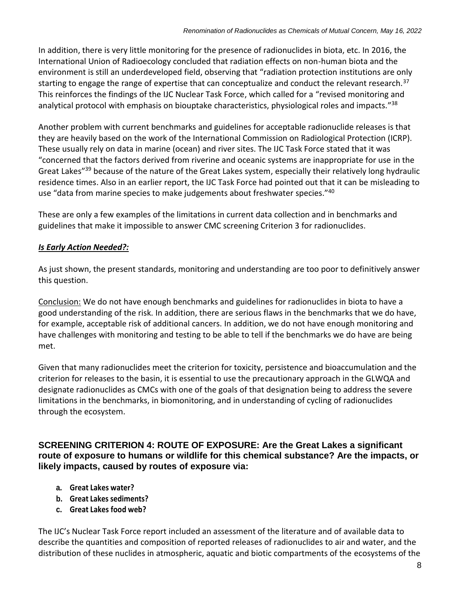In addition, there is very little monitoring for the presence of radionuclides in biota, etc. In 2016, the International Union of Radioecology concluded that radiation effects on non-human biota and the environment is still an underdeveloped field, observing that "radiation protection institutions are only starting to engage the range of expertise that can conceptualize and conduct the relevant research.<sup>37</sup> This reinforces the findings of the IJC Nuclear Task Force, which called for a "revised monitoring and analytical protocol with emphasis on biouptake characteristics, physiological roles and impacts."<sup>38</sup>

Another problem with current benchmarks and guidelines for acceptable radionuclide releases is that they are heavily based on the work of the International Commission on Radiological Protection (ICRP). These usually rely on data in marine (ocean) and river sites. The IJC Task Force stated that it was "concerned that the factors derived from riverine and oceanic systems are inappropriate for use in the Great Lakes"<sup>39</sup> because of the nature of the Great Lakes system, especially their relatively long hydraulic residence times. Also in an earlier report, the IJC Task Force had pointed out that it can be misleading to use "data from marine species to make judgements about freshwater species."<sup>40</sup>

These are only a few examples of the limitations in current data collection and in benchmarks and guidelines that make it impossible to answer CMC screening Criterion 3 for radionuclides.

### *Is Early Action Needed?:*

As just shown, the present standards, monitoring and understanding are too poor to definitively answer this question.

Conclusion: We do not have enough benchmarks and guidelines for radionuclides in biota to have a good understanding of the risk. In addition, there are serious flaws in the benchmarks that we do have, for example, acceptable risk of additional cancers. In addition, we do not have enough monitoring and have challenges with monitoring and testing to be able to tell if the benchmarks we do have are being met.

Given that many radionuclides meet the criterion for toxicity, persistence and bioaccumulation and the criterion for releases to the basin, it is essential to use the precautionary approach in the GLWQA and designate radionuclides as CMCs with one of the goals of that designation being to address the severe limitations in the benchmarks, in biomonitoring, and in understanding of cycling of radionuclides through the ecosystem.

#### <span id="page-7-0"></span>**SCREENING CRITERION 4: ROUTE OF EXPOSURE: Are the Great Lakes a significant route of exposure to humans or wildlife for this chemical substance? Are the impacts, or likely impacts, caused by routes of exposure via:**

- **a. Great Lakes water?**
- **b. Great Lakes sediments?**
- **c. Great Lakes food web?**

The IJC's Nuclear Task Force report included an assessment of the literature and of available data to describe the quantities and composition of reported releases of radionuclides to air and water, and the distribution of these nuclides in atmospheric, aquatic and biotic compartments of the ecosystems of the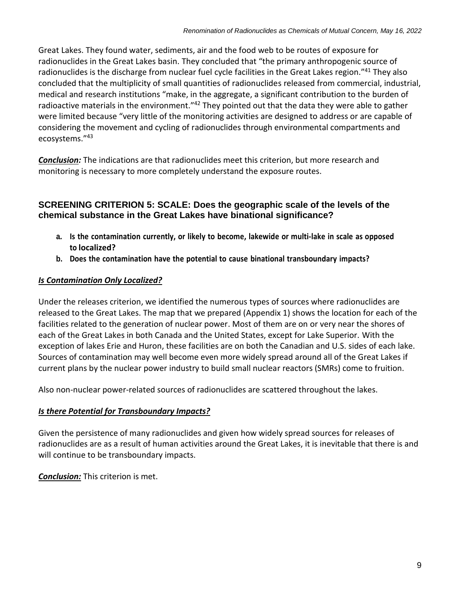Great Lakes. They found water, sediments, air and the food web to be routes of exposure for radionuclides in the Great Lakes basin. They concluded that "the primary anthropogenic source of radionuclides is the discharge from nuclear fuel cycle facilities in the Great Lakes region."<sup>41</sup> They also concluded that the multiplicity of small quantities of radionuclides released from commercial, industrial, medical and research institutions "make, in the aggregate, a significant contribution to the burden of radioactive materials in the environment."<sup>42</sup> They pointed out that the data they were able to gather were limited because "very little of the monitoring activities are designed to address or are capable of considering the movement and cycling of radionuclides through environmental compartments and ecosystems."<sup>43</sup>

*Conclusion:* The indications are that radionuclides meet this criterion, but more research and monitoring is necessary to more completely understand the exposure routes.

#### <span id="page-8-0"></span>**SCREENING CRITERION 5: SCALE: Does the geographic scale of the levels of the chemical substance in the Great Lakes have binational significance?**

- **a. Is the contamination currently, or likely to become, lakewide or multi-lake in scale as opposed to localized?**
- **b. Does the contamination have the potential to cause binational transboundary impacts?**

#### *Is Contamination Only Localized?*

Under the releases criterion, we identified the numerous types of sources where radionuclides are released to the Great Lakes. The map that we prepared (Appendix 1) shows the location for each of the facilities related to the generation of nuclear power. Most of them are on or very near the shores of each of the Great Lakes in both Canada and the United States, except for Lake Superior. With the exception of lakes Erie and Huron, these facilities are on both the Canadian and U.S. sides of each lake. Sources of contamination may well become even more widely spread around all of the Great Lakes if current plans by the nuclear power industry to build small nuclear reactors (SMRs) come to fruition.

Also non-nuclear power-related sources of radionuclides are scattered throughout the lakes.

#### *Is there Potential for Transboundary Impacts?*

Given the persistence of many radionuclides and given how widely spread sources for releases of radionuclides are as a result of human activities around the Great Lakes, it is inevitable that there is and will continue to be transboundary impacts.

*Conclusion:* This criterion is met.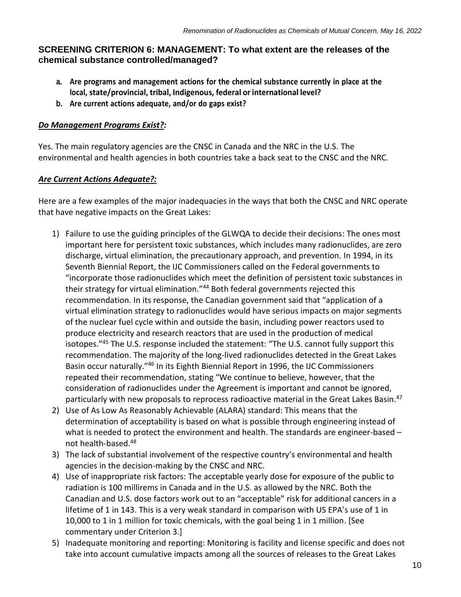### <span id="page-9-0"></span>**SCREENING CRITERION 6: MANAGEMENT: To what extent are the releases of the chemical substance controlled/managed?**

- **a. Are programs and management actions for the chemical substance currently in place at the local, state/provincial, tribal, Indigenous, federal or international level?**
- **b. Are current actions adequate, and/or do gaps exist?**

### *Do Management Programs Exist?:*

Yes. The main regulatory agencies are the CNSC in Canada and the NRC in the U.S. The environmental and health agencies in both countries take a back seat to the CNSC and the NRC.

### *Are Current Actions Adequate?:*

Here are a few examples of the major inadequacies in the ways that both the CNSC and NRC operate that have negative impacts on the Great Lakes:

- 1) Failure to use the guiding principles of the GLWQA to decide their decisions: The ones most important here for persistent toxic substances, which includes many radionuclides, are zero discharge, virtual elimination, the precautionary approach, and prevention. In 1994, in its Seventh Biennial Report, the IJC Commissioners called on the Federal governments to "incorporate those radionuclides which meet the definition of persistent toxic substances in their strategy for virtual elimination."<sup>44</sup> Both federal governments rejected this recommendation. In its response, the Canadian government said that "application of a virtual elimination strategy to radionuclides would have serious impacts on major segments of the nuclear fuel cycle within and outside the basin, including power reactors used to produce electricity and research reactors that are used in the production of medical isotopes."<sup>45</sup> The U.S. response included the statement: "The U.S. cannot fully support this recommendation. The majority of the long-lived radionuclides detected in the Great Lakes Basin occur naturally."<sup>46</sup> In its Eighth Biennial Report in 1996, the IJC Commissioners repeated their recommendation, stating "We continue to believe, however, that the consideration of radionuclides under the Agreement is important and cannot be ignored, particularly with new proposals to reprocess radioactive material in the Great Lakes Basin.<sup>47</sup>
- 2) Use of As Low As Reasonably Achievable (ALARA) standard: This means that the determination of acceptability is based on what is possible through engineering instead of what is needed to protect the environment and health. The standards are engineer-based – not health-based.<sup>48</sup>
- 3) The lack of substantial involvement of the respective country's environmental and health agencies in the decision-making by the CNSC and NRC.
- 4) Use of inappropriate risk factors: The acceptable yearly dose for exposure of the public to radiation is 100 millirems in Canada and in the U.S. as allowed by the NRC. Both the Canadian and U.S. dose factors work out to an "acceptable" risk for additional cancers in a lifetime of 1 in 143. This is a very weak standard in comparison with US EPA's use of 1 in 10,000 to 1 in 1 million for toxic chemicals, with the goal being 1 in 1 million. [See commentary under Criterion 3.]
- 5) Inadequate monitoring and reporting: Monitoring is facility and license specific and does not take into account cumulative impacts among all the sources of releases to the Great Lakes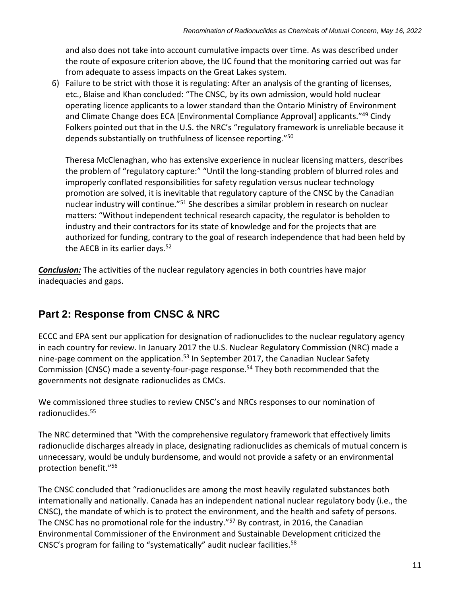and also does not take into account cumulative impacts over time. As was described under the route of exposure criterion above, the IJC found that the monitoring carried out was far from adequate to assess impacts on the Great Lakes system.

6) Failure to be strict with those it is regulating: After an analysis of the granting of licenses, etc., Blaise and Khan concluded: "The CNSC, by its own admission, would hold nuclear operating licence applicants to a lower standard than the Ontario Ministry of Environment and Climate Change does ECA [Environmental Compliance Approval] applicants."<sup>49</sup> Cindy Folkers pointed out that in the U.S. the NRC's "regulatory framework is unreliable because it depends substantially on truthfulness of licensee reporting."<sup>50</sup>

Theresa McClenaghan, who has extensive experience in nuclear licensing matters, describes the problem of "regulatory capture:" "Until the long-standing problem of blurred roles and improperly conflated responsibilities for safety regulation versus nuclear technology promotion are solved, it is inevitable that regulatory capture of the CNSC by the Canadian nuclear industry will continue."<sup>51</sup> She describes a similar problem in research on nuclear matters: "Without independent technical research capacity, the regulator is beholden to industry and their contractors for its state of knowledge and for the projects that are authorized for funding, contrary to the goal of research independence that had been held by the AECB in its earlier days.<sup>52</sup>

*Conclusion:* The activities of the nuclear regulatory agencies in both countries have major inadequacies and gaps.

## <span id="page-10-0"></span>**Part 2: Response from CNSC & NRC**

ECCC and EPA sent our application for designation of radionuclides to the nuclear regulatory agency in each country for review. In January 2017 the U.S. Nuclear Regulatory Commission (NRC) made a nine-page comment on the application.<sup>53</sup> In September 2017, the Canadian Nuclear Safety Commission (CNSC) made a seventy-four-page response.<sup>54</sup> They both recommended that the governments not designate radionuclides as CMCs.

We commissioned three studies to review CNSC's and NRCs responses to our nomination of radionuclides.<sup>55</sup>

The NRC determined that "With the comprehensive regulatory framework that effectively limits radionuclide discharges already in place, designating radionuclides as chemicals of mutual concern is unnecessary, would be unduly burdensome, and would not provide a safety or an environmental protection benefit."<sup>56</sup>

The CNSC concluded that "radionuclides are among the most heavily regulated substances both internationally and nationally. Canada has an independent national nuclear regulatory body (i.e., the CNSC), the mandate of which is to protect the environment, and the health and safety of persons. The CNSC has no promotional role for the industry."<sup>57</sup> By contrast, in 2016, the Canadian Environmental Commissioner of the Environment and Sustainable Development criticized the CNSC's program for failing to "systematically" audit nuclear facilities.<sup>58</sup>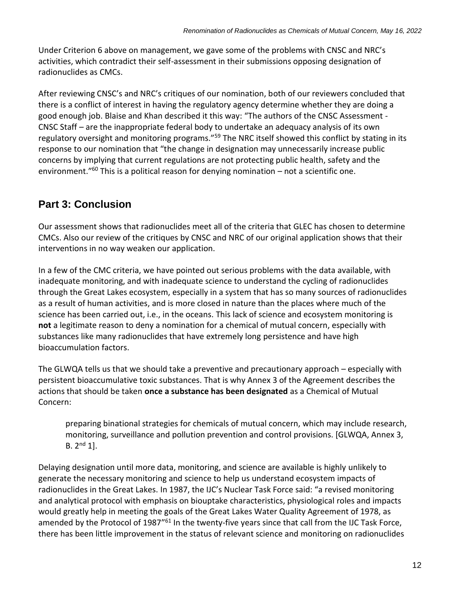Under Criterion 6 above on management, we gave some of the problems with CNSC and NRC's activities, which contradict their self-assessment in their submissions opposing designation of radionuclides as CMCs.

After reviewing CNSC's and NRC's critiques of our nomination, both of our reviewers concluded that there is a conflict of interest in having the regulatory agency determine whether they are doing a good enough job. Blaise and Khan described it this way: "The authors of the CNSC Assessment - CNSC Staff – are the inappropriate federal body to undertake an adequacy analysis of its own regulatory oversight and monitoring programs."<sup>59</sup> The NRC itself showed this conflict by stating in its response to our nomination that "the change in designation may unnecessarily increase public concerns by implying that current regulations are not protecting public health, safety and the environment."<sup>60</sup> This is a political reason for denying nomination  $-$  not a scientific one.

## <span id="page-11-0"></span>**Part 3: Conclusion**

Our assessment shows that radionuclides meet all of the criteria that GLEC has chosen to determine CMCs. Also our review of the critiques by CNSC and NRC of our original application shows that their interventions in no way weaken our application.

In a few of the CMC criteria, we have pointed out serious problems with the data available, with inadequate monitoring, and with inadequate science to understand the cycling of radionuclides through the Great Lakes ecosystem, especially in a system that has so many sources of radionuclides as a result of human activities, and is more closed in nature than the places where much of the science has been carried out, i.e., in the oceans. This lack of science and ecosystem monitoring is **not** a legitimate reason to deny a nomination for a chemical of mutual concern, especially with substances like many radionuclides that have extremely long persistence and have high bioaccumulation factors.

The GLWQA tells us that we should take a preventive and precautionary approach – especially with persistent bioaccumulative toxic substances. That is why Annex 3 of the Agreement describes the actions that should be taken **once a substance has been designated** as a Chemical of Mutual Concern:

preparing binational strategies for chemicals of mutual concern, which may include research, monitoring, surveillance and pollution prevention and control provisions. [GLWQA, Annex 3,  $B. 2<sup>nd</sup> 1$ .

Delaying designation until more data, monitoring, and science are available is highly unlikely to generate the necessary monitoring and science to help us understand ecosystem impacts of radionuclides in the Great Lakes. In 1987, the IJC's Nuclear Task Force said: "a revised monitoring and analytical protocol with emphasis on biouptake characteristics, physiological roles and impacts would greatly help in meeting the goals of the Great Lakes Water Quality Agreement of 1978, as amended by the Protocol of 1987"<sup>61</sup> In the twenty-five years since that call from the IJC Task Force, there has been little improvement in the status of relevant science and monitoring on radionuclides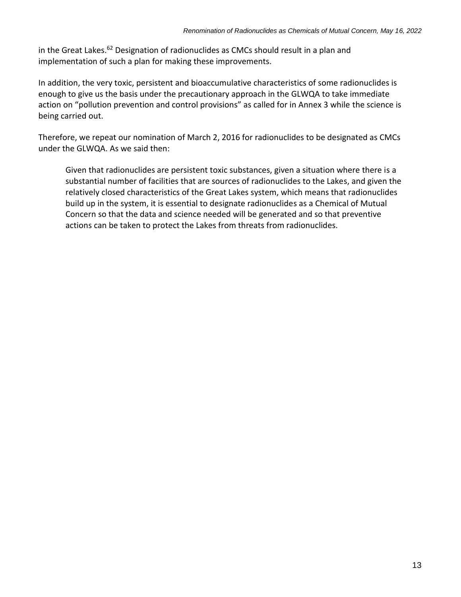in the Great Lakes.<sup>62</sup> Designation of radionuclides as CMCs should result in a plan and implementation of such a plan for making these improvements.

In addition, the very toxic, persistent and bioaccumulative characteristics of some radionuclides is enough to give us the basis under the precautionary approach in the GLWQA to take immediate action on "pollution prevention and control provisions" as called for in Annex 3 while the science is being carried out.

Therefore, we repeat our nomination of March 2, 2016 for radionuclides to be designated as CMCs under the GLWQA. As we said then:

Given that radionuclides are persistent toxic substances, given a situation where there is a substantial number of facilities that are sources of radionuclides to the Lakes, and given the relatively closed characteristics of the Great Lakes system, which means that radionuclides build up in the system, it is essential to designate radionuclides as a Chemical of Mutual Concern so that the data and science needed will be generated and so that preventive actions can be taken to protect the Lakes from threats from radionuclides.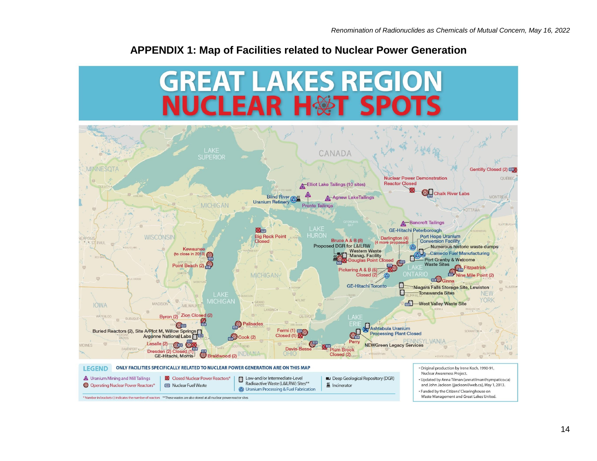## **APPENDIX 1: Map of Facilities related to Nuclear Power Generation**

<span id="page-13-0"></span>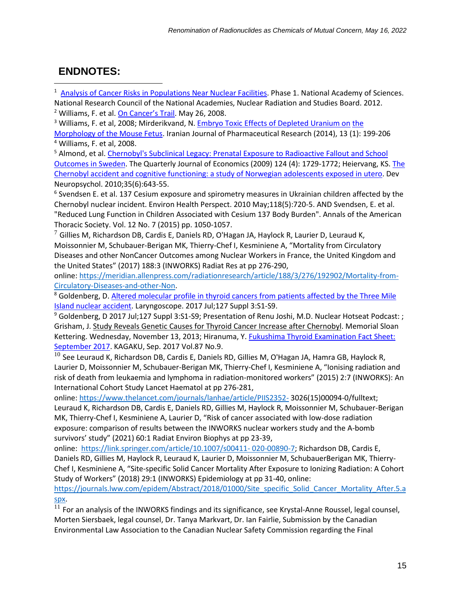## <span id="page-14-0"></span>**ENDNOTES:**

 $\overline{a}$ 

<sup>1</sup> Analysis of Cancer Risks in [Populations](https://www.nap.edu/read/13388) Near Nuclear Facilities. Phase 1. National Academy of Sciences. National Research Council of the National Academies, Nuclear Radiation and Studies Board. 2012. <sup>2</sup> Williams, F. et al[. On Cancer](https://www.hcn.org/issues/371/17708)'s Trail. May 26, 2008.

<sup>3</sup> Williams, F. et al, 2008; Mirderikvand, N. Embryo Toxic Effects of [Depleted](https://www.ncbi.nlm.nih.gov/pmc/articles/PMC3985252/) Uranium on the [Morphology](https://www.ncbi.nlm.nih.gov/pmc/articles/PMC3985252/) of the Mouse Fetus. Iranian Journal of Pharmaceutical Research (2014), 13 (1): 199-206 <sup>4</sup> Williams, F. et al, 2008.

<sup>5</sup> Almond, et al. [Chernobyl's](http://www.columbia.edu/~le93/Chernobyl.pdf) Subclinical Legacy: Prenatal Exposure to Radioactive Fallout and School [Outcomes](http://www.columbia.edu/~le93/Chernobyl.pdf) in Sweden. The Quarterly Journal of Economics (2009) 124 (4): 1729-1772; Heiervang, KS. The Chernobyl accident and cognitive functioning: a study of Norwegian adolescents exposed in utero. Dev Neuropsychol. 2010;35(6):643-55.

6 Svendsen E. et al. 137 Cesium exposure and spirometry measures in Ukrainian children affected by the Chernobyl nuclear incident. Environ Health Perspect. 2010 May;118(5):720-5. AND Svendsen, E. et al. "Reduced Lung Function in Children Associated with Cesium 137 Body Burden". Annals of the American Thoracic Society. Vol. 12 No. 7 (2015) pp. 1050-1057.

 $7$  Gillies M, Richardson DB, Cardis E, Daniels RD, O'Hagan JA, Haylock R, Laurier D, Leuraud K, Moissonnier M, Schubauer-Berigan MK, Thierry-Chef I, Kesminiene A, "Mortality from Circulatory Diseases and other NonCancer Outcomes among Nuclear Workers in France, the United Kingdom and the United States" (2017) 188:3 (INWORKS) Radiat Res at pp 276-290,

online: [https://meridian.allenpress.com/radiationresearch/article/188/3/276/192902/Mortality-from-](https://meridian.allenpress.com/radiationresearch/article/188/3/276/192902/Mortality-from-Circulatory-Diseases-and-other-Non)[Circulatory-Diseases-and-other-Non.](https://meridian.allenpress.com/radiationresearch/article/188/3/276/192902/Mortality-from-Circulatory-Diseases-and-other-Non)

<sup>8</sup> Goldenberg, D. Altered [molecular](https://www.ncbi.nlm.nih.gov/pubmed/28555940) profile in thyroid cancers from patients affected by the Three Mile Island nuclear [accident.](https://www.ncbi.nlm.nih.gov/pubmed/28555940) Laryngoscope. 2017 Jul;127 Suppl 3:S1-S9.

<sup>9</sup> Goldenberg, D 2017 Jul[;](http://nuclearhotseat.com/2018/04/11/three-mile-island-nuclear-meltdown-at-39-wtf-actually-happened-to-us-nh-355/)127 Suppl 3:S1-S9; Presentation of Renu Joshi, M.D. Nuclear Hotseat Podcast: ; Grisham, J. Study Reveals Genetic Causes for Thyroid Cancer Increase after [Chernobyl.](https://www.mskcc.org/blog/study-reveals-genetic-causes-thyroid-increase-after-chernobyl) Memorial Sloan Kettering. Wednesday, November 13, 2013; Hiranuma, Y. Fukushima Thyroid [Examination](https://www.iwanami.co.jp/kagaku/eKagaku_201709_Hiranuma-rev.pdf) Fact Sheet: [September](https://www.iwanami.co.jp/kagaku/eKagaku_201709_Hiranuma-rev.pdf) 2017. KAGAKU, Sep. 2017 Vol.87 No.9.

 $^{10}$  See Leuraud K, Richardson DB, Cardis E, Daniels RD, Gillies M, O'Hagan JA, Hamra GB, Haylock R, Laurier D, Moissonnier M, Schubauer-Berigan MK, Thierry-Chef I, Kesminiene A, "Ionising radiation and risk of death from leukaemia and lymphoma in radiation-monitored workers" (2015) 2:7 (INWORKS): An International Cohort Study Lancet Haematol at pp 276-281,

online: <https://www.thelancet.com/journals/lanhae/article/PIIS2352-> 3026(15)00094-0/fulltext; Leuraud K, Richardson DB, Cardis E, Daniels RD, Gillies M, Haylock R, Moissonnier M, Schubauer-Berigan MK, Thierry-Chef I, Kesminiene A, Laurier D, "Risk of cancer associated with low-dose radiation exposure: comparison of results between the INWORKS nuclear workers study and the A-bomb survivors' study" (2021) 60:1 Radiat Environ Biophys at pp 23-39,

online: [https://link.springer.com/article/10.1007/s00411-](https://link.springer.com/article/10.1007/s00411-%0D020-00890-7) 020-00890-7; Richardson DB, Cardis E, Daniels RD, Gillies M, Haylock R, Leuraud K, Laurier D, Moissonnier M, SchubauerBerigan MK, Thierry-Chef I, Kesminiene A, "Site-specific Solid Cancer Mortality After Exposure to Ionizing Radiation: A Cohort Study of Workers" (2018) 29:1 (INWORKS) Epidemiology at pp 31-40, online:

[https://journals.lww.com/epidem/Abstract/2018/01000/Site\\_specific\\_Solid\\_Cancer\\_Mortality\\_After.5.a](https://journals.lww.com/epidem/Abstract/2018/01000/Site_specific_Solid_Cancer_Mortality_After.5.aspx) [spx.](https://journals.lww.com/epidem/Abstract/2018/01000/Site_specific_Solid_Cancer_Mortality_After.5.aspx)

 $11$  For an analysis of the INWORKS findings and its significance, see Krystal-Anne Roussel, legal counsel, Morten Siersbaek, legal counsel, Dr. Tanya Markvart, Dr. Ian Fairlie, Submission by the Canadian Environmental Law Association to the Canadian Nuclear Safety Commission regarding the Final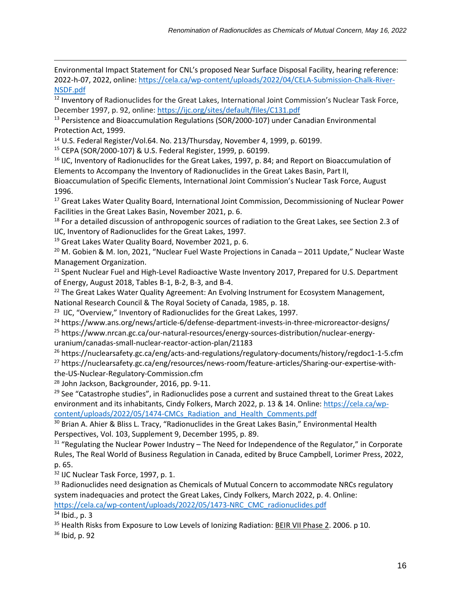Environmental Impact Statement for CNL's proposed Near Surface Disposal Facility, hearing reference: 2022-h-07, 2022, online: [https://cela.ca/wp-content/uploads/2022/04/CELA-Submission-Chalk-River-](https://cela.ca/wp-content/uploads/2022/04/CELA-Submission-Chalk-River-NSDF.pdf)[NSDF.pdf](https://cela.ca/wp-content/uploads/2022/04/CELA-Submission-Chalk-River-NSDF.pdf)

<sup>12</sup> Inventory of Radionuclides for the Great Lakes, International Joint Commission's Nuclear Task Force, December 1997, p. 92, online: <https://ijc.org/sites/default/files/C131.pdf>

<sup>13</sup> Persistence and Bioaccumulation Regulations (SOR/2000-107) under Canadian Environmental Protection Act, 1999.

<sup>14</sup> U.S. Federal Register/Vol.64. No. 213/Thursday, November 4, 1999, p. 60199.

<sup>15</sup> CEPA (SOR/2000-107) & U.S. Federal Register, 1999, p. 60199.

<sup>16</sup> IJC, Inventory of Radionuclides for the Great Lakes, 1997, p. 84; and Report on Bioaccumulation of Elements to Accompany the Inventory of Radionuclides in the Great Lakes Basin, Part II,

Bioaccumulation of Specific Elements, International Joint Commission's Nuclear Task Force, August 1996.

<sup>17</sup> Great Lakes Water Quality Board, International Joint Commission, Decommissioning of Nuclear Power Facilities in the Great Lakes Basin, November 2021, p. 6.

<sup>18</sup> For a detailed discussion of anthropogenic sources of radiation to the Great Lakes, see Section 2.3 of IJC, Inventory of Radionuclides for the Great Lakes, 1997.

<sup>19</sup> Great Lakes Water Quality Board, November 2021, p. 6.

<sup>20</sup> M. Gobien & M. Ion, 2021, "Nuclear Fuel Waste Projections in Canada - 2011 Update," Nuclear Waste Management Organization.

<sup>21</sup> Spent Nuclear Fuel and High-Level Radioactive Waste Inventory 2017, Prepared for U.S. Department of Energy, August 2018, Tables B-1, B-2, B-3, and B-4.

 $22$  The Great Lakes Water Quality Agreement: An Evolving Instrument for Ecosystem Management, National Research Council & The Royal Society of Canada, 1985, p. 18.

 $^{23}$  IJC, "Overview," Inventory of Radionuclides for the Great Lakes, 1997.

<sup>24</sup> https://www.ans.org/news/article-6/defense-department-invests-in-three-microreactor-designs/ <sup>25</sup> https://www.nrcan.gc.ca/our-natural-resources/energy-sources-distribution/nuclear-energyuranium/canadas-small-nuclear-reactor-action-plan/21183

<sup>26</sup> https://nuclearsafety.gc.ca/eng/acts-and-regulations/regulatory-documents/history/regdoc1-1-5.cfm <sup>27</sup> https://nuclearsafety.gc.ca/eng/resources/news-room/feature-articles/Sharing-our-expertise-withthe-US-Nuclear-Regulatory-Commission.cfm

<sup>28</sup> John Jackson, Backgrounder, 2016, pp. 9-11.

<sup>29</sup> See "Catastrophe studies", in Radionuclides pose a current and sustained threat to the Great Lakes environment and its inhabitants, Cindy Folkers, March 2022, p. 13 & 14. Online: [https://cela.ca/wp](https://cela.ca/wp-content/uploads/2022/05/1474-CMCs_Radiation_and_Health_Comments.pdf)[content/uploads/2022/05/1474-CMCs\\_Radiation\\_and\\_Health\\_Comments.pdf](https://cela.ca/wp-content/uploads/2022/05/1474-CMCs_Radiation_and_Health_Comments.pdf)

<sup>30</sup> Brian A. Ahier & Bliss L. Tracy, "Radionuclides in the Great Lakes Basin," Environmental Health Perspectives, Vol. 103, Supplement 9, December 1995, p. 89.

 $31$  "Regulating the Nuclear Power Industry – The Need for Independence of the Regulator," in Corporate Rules, The Real World of Business Regulation in Canada, edited by Bruce Campbell, Lorimer Press, 2022, p. 65.

<sup>32</sup> IJC Nuclear Task Force, 1997, p. 1.

<sup>33</sup> Radionuclides need designation as Chemicals of Mutual Concern to accommodate NRCs regulatory system inadequacies and protect the Great Lakes, Cindy Folkers, March 2022, p. 4. Online: [https://cela.ca/wp-content/uploads/2022/05/1473-NRC\\_CMC\\_radionuclides.pdf](https://cela.ca/wp-content/uploads/2022/05/1473-NRC_CMC_radionuclides.pdf)

 $34$  Ibid., p. 3

 $\overline{a}$ 

<sup>35</sup> Health Risks from Exposure to Low Levels of Ionizing Radiation[: BEIR VII Phase 2.](https://www.nap.edu/catalog/11340/health-risks-from-exposure-to-low-levels-of-ionizing-radiation) 2006. p 10.

 $36$  Ibid, p. 92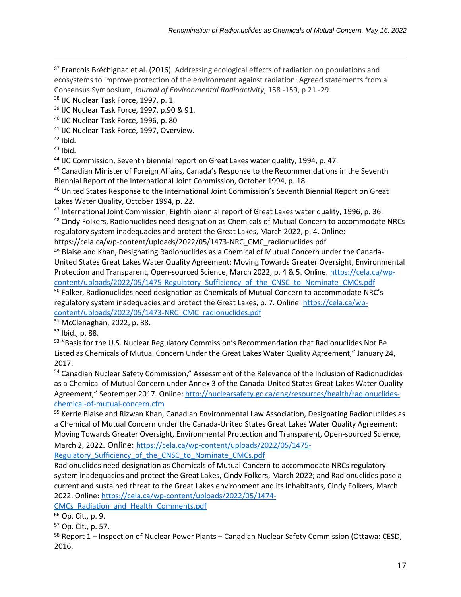<sup>37</sup> Francois Bréchignac et al. (2016). Addressing ecological effects of radiation on populations and ecosystems to improve protection of the environment against radiation: Agreed statements from a Consensus Symposium, *Journal of Environmental Radioactivity*, 158 -159, p 21 -29

38 IJC Nuclear Task Force, 1997, p. 1.

<sup>39</sup> IJC Nuclear Task Force, 1997, p.90 & 91.

<sup>40</sup> IJC Nuclear Task Force, 1996, p. 80

<sup>41</sup> IJC Nuclear Task Force, 1997, Overview.

 $42$  Ibid.

 $\overline{a}$ 

 $43$  Ibid.

<sup>44</sup> IJC Commission, Seventh biennial report on Great Lakes water quality, 1994, p. 47.

<sup>45</sup> Canadian Minister of Foreign Affairs, Canada's Response to the Recommendations in the Seventh Biennial Report of the International Joint Commission, October 1994, p. 18.

<sup>46</sup> United States Response to the International Joint Commission's Seventh Biennial Report on Great Lakes Water Quality, October 1994, p. 22.

<sup>47</sup> International Joint Commission, Eighth biennial report of Great Lakes water quality, 1996, p. 36. <sup>48</sup> Cindy Folkers, Radionuclides need designation as Chemicals of Mutual Concern to accommodate NRCs regulatory system inadequacies and protect the Great Lakes, March 2022, p. 4. Online:

https://cela.ca/wp-content/uploads/2022/05/1473-NRC\_CMC\_radionuclides.pdf

<sup>49</sup> Blaise and Khan, Designating Radionuclides as a Chemical of Mutual Concern under the Canada-United States Great Lakes Water Quality Agreement: Moving Towards Greater Oversight, Environmental Protection and Transparent, Open-sourced Science, March 2022, p. 4 & 5. Online: [https://cela.ca/wp](https://cela.ca/wp-content/uploads/2022/05/1475-Regulatory_Sufficiency_of_the_CNSC_to_Nominate_CMCs.pdf)[content/uploads/2022/05/1475-Regulatory\\_Sufficiency\\_of\\_the\\_CNSC\\_to\\_Nominate\\_CMCs.pdf](https://cela.ca/wp-content/uploads/2022/05/1475-Regulatory_Sufficiency_of_the_CNSC_to_Nominate_CMCs.pdf)

 $50$  Folker, Radionuclides need designation as Chemicals of Mutual Concern to accommodate NRC's regulatory system inadequacies and protect the Great Lakes, p. 7. Online: [https://cela.ca/wp](https://cela.ca/wp-content/uploads/2022/05/1473-NRC_CMC_radionuclides.pdf)[content/uploads/2022/05/1473-NRC\\_CMC\\_radionuclides.pdf](https://cela.ca/wp-content/uploads/2022/05/1473-NRC_CMC_radionuclides.pdf)

<sup>51</sup> McClenaghan, 2022, p. 88.

<sup>52</sup> Ibid., p. 88.

<sup>53</sup> "Basis for the U.S. Nuclear Regulatory Commission's Recommendation that Radionuclides Not Be Listed as Chemicals of Mutual Concern Under the Great Lakes Water Quality Agreement," January 24, 2017.

<sup>54</sup> Canadian Nuclear Safety Commission," Assessment of the Relevance of the Inclusion of Radionuclides as a Chemical of Mutual Concern under Annex 3 of the Canada-United States Great Lakes Water Quality Agreement," September 2017. Online: [http://nuclearsafety.gc.ca/eng/resources/health/radionuclides](http://nuclearsafety.gc.ca/eng/resources/health/radionuclides-chemical-of-mutual-concern.cfm)[chemical-of-mutual-concern.cfm](http://nuclearsafety.gc.ca/eng/resources/health/radionuclides-chemical-of-mutual-concern.cfm)

<sup>55</sup> Kerrie Blaise and Rizwan Khan, Canadian Environmental Law Association, Designating Radionuclides as a Chemical of Mutual Concern under the Canada-United States Great Lakes Water Quality Agreement: Moving Towards Greater Oversight, Environmental Protection and Transparent, Open-sourced Science, March 2, 2022. Online: [https://cela.ca/wp-content/uploads/2022/05/1475-](https://cela.ca/wp-content/uploads/2022/05/1475-Regulatory_Sufficiency_of_the_CNSC_to_Nominate_CMCs.pdf)

Regulatory Sufficiency of the CNSC to Nominate CMCs.pdf

Radionuclides need designation as Chemicals of Mutual Concern to accommodate NRCs regulatory system inadequacies and protect the Great Lakes, Cindy Folkers, March 2022; and Radionuclides pose a current and sustained threat to the Great Lakes environment and its inhabitants, Cindy Folkers, March 2022. Online: [https://cela.ca/wp-content/uploads/2022/05/1474-](https://cela.ca/wp-content/uploads/2022/05/1474-CMCs_Radiation_and_Health_Comments.pdf)

[CMCs\\_Radiation\\_and\\_Health\\_Comments.pdf](https://cela.ca/wp-content/uploads/2022/05/1474-CMCs_Radiation_and_Health_Comments.pdf)

<sup>56</sup> Op. Cit., p. 9.

<sup>58</sup> Report 1 – Inspection of Nuclear Power Plants – Canadian Nuclear Safety Commission (Ottawa: CESD, 2016.

<sup>57</sup> Op. Cit., p. 57.